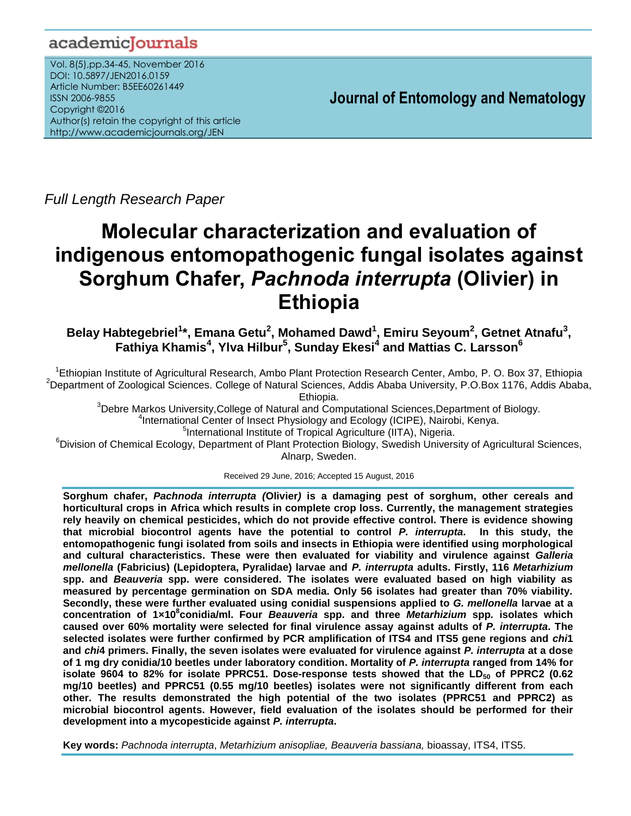## academicJournals

Vol. 8(5),pp.34-45, November 2016 DOI: 10.5897/JEN2016.0159 Article Number: B5EE60261449 ISSN 2006-9855 Copyright ©2016 Author(s) retain the copyright of this article http://www.academicjournals.org/JEN

**Journal of Entomology and Nematology**

*Full Length Research Paper*

# **Molecular characterization and evaluation of indigenous entomopathogenic fungal isolates against Sorghum Chafer,** *Pachnoda interrupta* **(Olivier) in Ethiopia**

**Belay Habtegebriel<sup>1</sup> \*, Emana Getu<sup>2</sup> , Mohamed Dawd<sup>1</sup> , Emiru Seyoum<sup>2</sup> , Getnet Atnafu<sup>3</sup> , Fathiya Khamis<sup>4</sup> , Ylva Hilbur<sup>5</sup> , Sunday Ekesi<sup>4</sup> and Mattias C. Larsson<sup>6</sup>**

<sup>1</sup>Ethiopian Institute of Agricultural Research, Ambo Plant Protection Research Center, Ambo, P. O. Box 37, Ethiopia <sup>2</sup>Department of Zoological Sciences. College of Natural Sciences, Addis Ababa University, P.O.Box 1176, Addis Ababa, Ethiopia.

 $3$ Debre Markos University, College of Natural and Computational Sciences, Department of Biology. 4 International Center of Insect Physiology and Ecology (ICIPE), Nairobi, Kenya.

5 International Institute of Tropical Agriculture (IITA), Nigeria.

<sup>6</sup>Division of Chemical Ecology, Department of Plant Protection Biology, Swedish University of Agricultural Sciences, Alnarp, Sweden.

Received 29 June, 2016; Accepted 15 August, 2016

**Sorghum chafer,** *Pachnoda interrupta (***Olivier***)* **is a damaging pest of sorghum, other cereals and horticultural crops in Africa which results in complete crop loss. Currently, the management strategies rely heavily on chemical pesticides, which do not provide effective control. There is evidence showing that microbial biocontrol agents have the potential to control** *P. interrupta***. In this study, the entomopathogenic fungi isolated from soils and insects in Ethiopia were identified using morphological and cultural characteristics. These were then evaluated for viability and virulence against** *Galleria mellonella* **(Fabricius) (Lepidoptera, Pyralidae) larvae and** *P. interrupta* **adults. Firstly, 116** *Metarhizium* **spp. and** *Beauveria* **spp. were considered. The isolates were evaluated based on high viability as measured by percentage germination on SDA media. Only 56 isolates had greater than 70% viability. Secondly, these were further evaluated using conidial suspensions applied to** *G. mellonella* **larvae at a**  concentration of 1×10<sup>8</sup> conidia/ml. Four *Beauveria* spp. and three *Metarhizium* spp. isolates which **caused over 60% mortality were selected for final virulence assay against adults of** *P. interrupta***. The selected isolates were further confirmed by PCR amplification of ITS4 and ITS5 gene regions and** *chi***1 and** *chi***4 primers. Finally, the seven isolates were evaluated for virulence against** *P. interrupta* **at a dose of 1 mg dry conidia/10 beetles under laboratory condition. Mortality of** *P. interrupta* **ranged from 14% for isolate 9604 to 82% for isolate PPRC51. Dose-response tests showed that the LD<sup>50</sup> of PPRC2 (0.62 mg/10 beetles) and PPRC51 (0.55 mg/10 beetles) isolates were not significantly different from each other. The results demonstrated the high potential of the two isolates (PPRC51 and PPRC2) as microbial biocontrol agents. However, field evaluation of the isolates should be performed for their development into a mycopesticide against** *P. interrupta***.** 

**Key words:** *Pachnoda interrupta*, *Metarhizium anisopliae, Beauveria bassiana,* bioassay, ITS4, ITS5.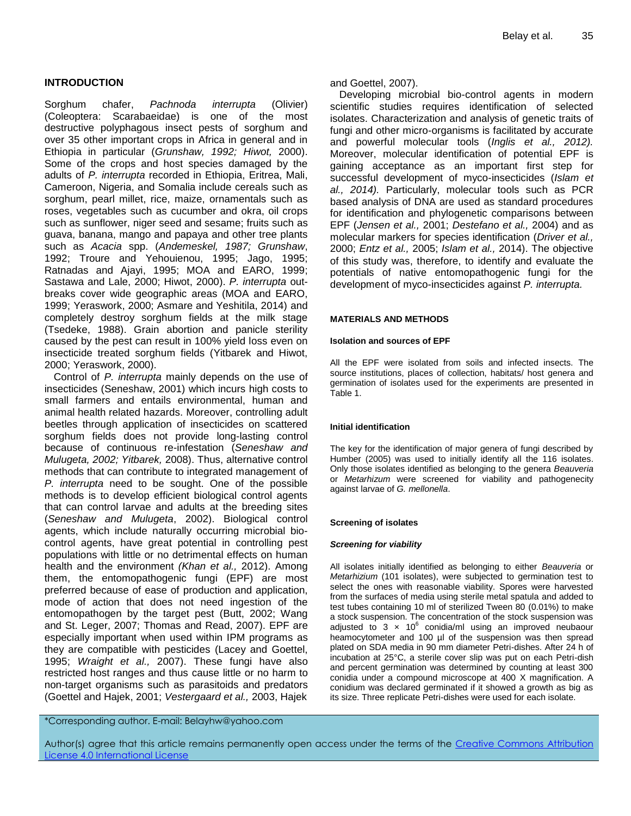## **INTRODUCTION**

Sorghum chafer, *Pachnoda interrupta* (Olivier) (Coleoptera: Scarabaeidae) is one of the most destructive polyphagous insect pests of sorghum and over 35 other important crops in Africa in general and in Ethiopia in particular (*Grunshaw, 1992; Hiwot,* 2000). Some of the crops and host species damaged by the adults of *P. interrupta* recorded in Ethiopia, Eritrea, Mali, Cameroon, Nigeria, and Somalia include cereals such as sorghum, pearl millet, rice, maize, ornamentals such as roses, vegetables such as cucumber and okra, oil crops such as sunflower, niger seed and sesame; fruits such as guava, banana, mango and papaya and other tree plants such as *Acacia* spp. (*Andemeskel, 1987; Grunshaw*, 1992; Troure and Yehouienou, 1995; Jago, 1995; Ratnadas and Ajayi, 1995; MOA and EARO, 1999; Sastawa and Lale, 2000; Hiwot, 2000). *P. interrupta* outbreaks cover wide geographic areas (MOA and EARO, 1999; Yeraswork, 2000; Asmare and Yeshitila, 2014) and completely destroy sorghum fields at the milk stage (Tsedeke, 1988). Grain abortion and panicle sterility caused by the pest can result in 100% yield loss even on insecticide treated sorghum fields (Yitbarek and Hiwot, 2000; Yeraswork, 2000).

Control of *P. interrupta* mainly depends on the use of insecticides (Seneshaw, 2001) which incurs high costs to small farmers and entails environmental, human and animal health related hazards. Moreover, controlling adult beetles through application of insecticides on scattered sorghum fields does not provide long-lasting control because of continuous re-infestation (*Seneshaw and Mulugeta, 2002; Yitbarek,* 2008). Thus, alternative control methods that can contribute to integrated management of *P. interrupta* need to be sought. One of the possible methods is to develop efficient biological control agents that can control larvae and adults at the breeding sites (*Seneshaw and Mulugeta*, 2002). Biological control agents, which include naturally occurring microbial biocontrol agents, have great potential in controlling pest populations with little or no detrimental effects on human health and the environment *(Khan et al.,* 2012). Among them, the entomopathogenic fungi (EPF) are most preferred because of ease of production and application, mode of action that does not need ingestion of the entomopathogen by the target pest (Butt, 2002; Wang and St. Leger, 2007; Thomas and Read, 2007). EPF are especially important when used within IPM programs as they are compatible with pesticides (Lacey and Goettel, 1995; *Wraight et al.,* 2007). These fungi have also restricted host ranges and thus cause little or no harm to non-target organisms such as parasitoids and predators (Goettel and Hajek, 2001; *Vestergaard et al.,* 2003, Hajek and Goettel, 2007).

Developing microbial bio-control agents in modern scientific studies requires identification of selected isolates. Characterization and analysis of genetic traits of fungi and other micro-organisms is facilitated by accurate and powerful molecular tools (*Inglis et al., 2012).* Moreover, molecular identification of potential EPF is gaining acceptance as an important first step for successful development of myco-insecticides (*Islam et al., 2014).* Particularly, molecular tools such as PCR based analysis of DNA are used as standard procedures for identification and phylogenetic comparisons between EPF (*Jensen et al.,* 2001; *Destefano et al.,* 2004) and as molecular markers for species identification (*Driver et al.,* 2000; *Entz et al.,* 2005; *Islam et al.,* 2014). The objective of this study was, therefore, to identify and evaluate the potentials of native entomopathogenic fungi for the development of myco-insecticides against *P. interrupta.*

### **MATERIALS AND METHODS**

#### **Isolation and sources of EPF**

All the EPF were isolated from soils and infected insects. The source institutions, places of collection, habitats/ host genera and germination of isolates used for the experiments are presented in Table 1.

## **Initial identification**

The key for the identification of major genera of fungi described by Humber (2005) was used to initially identify all the 116 isolates. Only those isolates identified as belonging to the genera *Beauveria* or *Metarhizum* were screened for viability and pathogenecity against larvae of *G. mellonella*.

#### **Screening of isolates**

## *Screening for viability*

All isolates initially identified as belonging to either *Beauveria* or *Metarhizium* (101 isolates), were subjected to germination test to select the ones with reasonable viability. Spores were harvested from the surfaces of media using sterile metal spatula and added to test tubes containing 10 ml of sterilized Tween 80 (0.01%) to make a stock suspension. The concentration of the stock suspension was adjusted to 3  $\times$  10<sup>6</sup> conidia/ml using an improved neubaour heamocytometer and 100 µl of the suspension was then spread plated on SDA media in 90 mm diameter Petri-dishes. After 24 h of incubation at 25°C, a sterile cover slip was put on each Petri-dish and percent germination was determined by counting at least 300 conidia under a compound microscope at 400 X magnification. A conidium was declared germinated if it showed a growth as big as its size. Three replicate Petri-dishes were used for each isolate.

\*Corresponding author. E-mail: Belayhw@yahoo.com

Author(s) agree that this article remains permanently open access under the terms of the Creative Commons Attribution [License 4.0 International License](http://creativecommons.org/licenses/by/4.0/deed.en_US)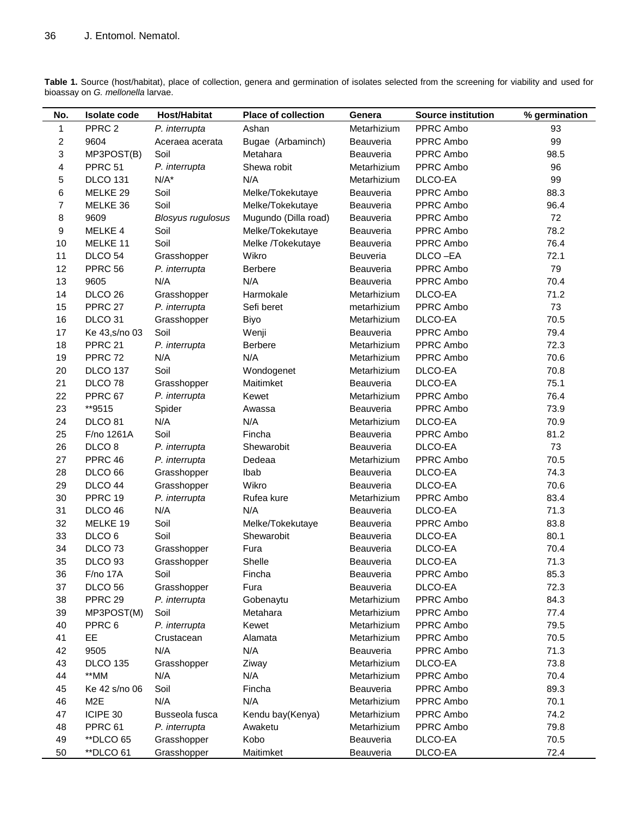| Table 1. Source (host/habitat), place of collection, genera and germination of isolates selected from the screening for viability and used for |  |  |  |
|------------------------------------------------------------------------------------------------------------------------------------------------|--|--|--|
| bioassay on G. mellonella larvae.                                                                                                              |  |  |  |

| No.                     | <b>Isolate code</b> | Host/Habitat             | <b>Place of collection</b> | Genera      | <b>Source institution</b> | % germination |
|-------------------------|---------------------|--------------------------|----------------------------|-------------|---------------------------|---------------|
| 1                       | PPRC <sub>2</sub>   | P. interrupta            | Ashan                      | Metarhizium | PPRC Ambo                 | 93            |
| $\overline{\mathbf{c}}$ | 9604                | Aceraea acerata          | Bugae (Arbaminch)          | Beauveria   | PPRC Ambo                 | 99            |
| 3                       | MP3POST(B)          | Soil                     | Metahara                   | Beauveria   | PPRC Ambo                 | 98.5          |
| 4                       | PPRC 51             | P. interrupta            | Shewa robit                | Metarhizium | PPRC Ambo                 | 96            |
| 5                       | <b>DLCO 131</b>     | $N/A^*$                  | N/A                        | Metarhizium | DLCO-EA                   | 99            |
| 6                       | MELKE 29            | Soil                     | Melke/Tokekutaye           | Beauveria   | PPRC Ambo                 | 88.3          |
| 7                       | MELKE 36            | Soil                     | Melke/Tokekutaye           | Beauveria   | PPRC Ambo                 | 96.4          |
| 8                       | 9609                | <b>Blosyus rugulosus</b> | Mugundo (Dilla road)       | Beauveria   | PPRC Ambo                 | 72            |
| 9                       | MELKE 4             | Soil                     | Melke/Tokekutaye           | Beauveria   | PPRC Ambo                 | 78.2          |
| 10                      | MELKE 11            | Soil                     | Melke /Tokekutaye          | Beauveria   | PPRC Ambo                 | 76.4          |
| 11                      | DLCO <sub>54</sub>  | Grasshopper              | Wikro                      | Beuveria    | DLCO-EA                   | 72.1          |
| 12                      | PPRC 56             | P. interrupta            | <b>Berbere</b>             | Beauveria   | PPRC Ambo                 | 79            |
| 13                      | 9605                | N/A                      | N/A                        | Beauveria   | PPRC Ambo                 | 70.4          |
| 14                      | DLCO <sub>26</sub>  | Grasshopper              | Harmokale                  | Metarhizium | DLCO-EA                   | 71.2          |
| 15                      | PPRC 27             | P. interrupta            | Sefi beret                 | metarhizium | PPRC Ambo                 | 73            |
| 16                      | DLCO <sub>31</sub>  | Grasshopper              | Biyo                       | Metarhizium | DLCO-EA                   | 70.5          |
| 17                      | Ke 43, s/no 03      | Soil                     | Wenji                      | Beauveria   | PPRC Ambo                 | 79.4          |
| 18                      | PPRC 21             | P. interrupta            | <b>Berbere</b>             | Metarhizium | PPRC Ambo                 | 72.3          |
| 19                      | PPRC 72             | N/A                      | N/A                        | Metarhizium | PPRC Ambo                 | 70.6          |
| 20                      | <b>DLCO 137</b>     | Soil                     | Wondogenet                 | Metarhizium | DLCO-EA                   | 70.8          |
| 21                      | DLCO <sub>78</sub>  | Grasshopper              | Maitimket                  | Beauveria   | DLCO-EA                   | 75.1          |
| 22                      | PPRC 67             | P. interrupta            | Kewet                      | Metarhizium | PPRC Ambo                 | 76.4          |
| 23                      | **9515              | Spider                   | Awassa                     | Beauveria   | PPRC Ambo                 | 73.9          |
| 24                      | DLCO <sub>81</sub>  | N/A                      | N/A                        | Metarhizium | DLCO-EA                   | 70.9          |
| 25                      | F/no 1261A          | Soil                     | Fincha                     | Beauveria   | PPRC Ambo                 | 81.2          |
| 26                      | DLCO <sub>8</sub>   | P. interrupta            | Shewarobit                 | Beauveria   | DLCO-EA                   | 73            |
| 27                      | PPRC 46             | P. interrupta            | Dedeaa                     | Metarhizium | PPRC Ambo                 | 70.5          |
| 28                      | DLCO <sub>66</sub>  | Grasshopper              | Ibab                       | Beauveria   | DLCO-EA                   | 74.3          |
| 29                      | DLCO 44             | Grasshopper              | Wikro                      | Beauveria   | DLCO-EA                   | 70.6          |
| 30                      | PPRC 19             | P. interrupta            | Rufea kure                 | Metarhizium | PPRC Ambo                 | 83.4          |
| 31                      | DLCO 46             | N/A                      | N/A                        | Beauveria   | DLCO-EA                   | 71.3          |
| 32                      | MELKE 19            | Soil                     | Melke/Tokekutaye           | Beauveria   | PPRC Ambo                 | 83.8          |
| 33                      | DLCO <sub>6</sub>   | Soil                     | Shewarobit                 | Beauveria   | DLCO-EA                   | 80.1          |
| 34                      | DLCO <sub>73</sub>  | Grasshopper              | Fura                       | Beauveria   | DLCO-EA                   | 70.4          |
| 35                      | DLCO <sub>93</sub>  | Grasshopper              | Shelle                     | Beauveria   | DLCO-EA                   | 71.3          |
| 36                      | <b>F/no 17A</b>     | Soil                     | Fincha                     | Beauveria   | PPRC Ambo                 | 85.3          |
| 37                      | DLCO <sub>56</sub>  | Grasshopper              | Fura                       | Beauveria   | DLCO-EA                   | 72.3          |
| 38                      | PPRC 29             | P. interrupta            | Gobenaytu                  | Metarhizium | PPRC Ambo                 | 84.3          |
| 39                      | MP3POST(M)          | Soil                     | Metahara                   | Metarhizium | PPRC Ambo                 | 77.4          |
| 40                      | PPRC 6              | P. interrupta            | Kewet                      | Metarhizium | PPRC Ambo                 | 79.5          |
| 41                      | EE                  | Crustacean               | Alamata                    | Metarhizium | PPRC Ambo                 | 70.5          |
| 42                      | 9505                | N/A                      | N/A                        | Beauveria   | PPRC Ambo                 | 71.3          |
| 43                      | <b>DLCO 135</b>     | Grasshopper              | Ziway                      | Metarhizium | DLCO-EA                   | 73.8          |
| 44                      | **MM                | N/A                      | N/A                        | Metarhizium | PPRC Ambo                 | 70.4          |
| 45                      | Ke 42 s/no 06       | Soil                     | Fincha                     | Beauveria   | PPRC Ambo                 | 89.3          |
| 46                      | M <sub>2</sub> E    | N/A                      | N/A                        | Metarhizium | PPRC Ambo                 | 70.1          |
| 47                      | ICIPE 30            | Busseola fusca           | Kendu bay(Kenya)           | Metarhizium | PPRC Ambo                 | 74.2          |
| 48                      | PPRC 61             | P. interrupta            | Awaketu                    | Metarhizium | PPRC Ambo                 | 79.8          |
| 49                      | <b>**DLCO 65</b>    | Grasshopper              | Kobo                       | Beauveria   | DLCO-EA                   | 70.5          |
| 50                      | **DLCO 61           | Grasshopper              | Maitimket                  | Beauveria   | DLCO-EA                   | 72.4          |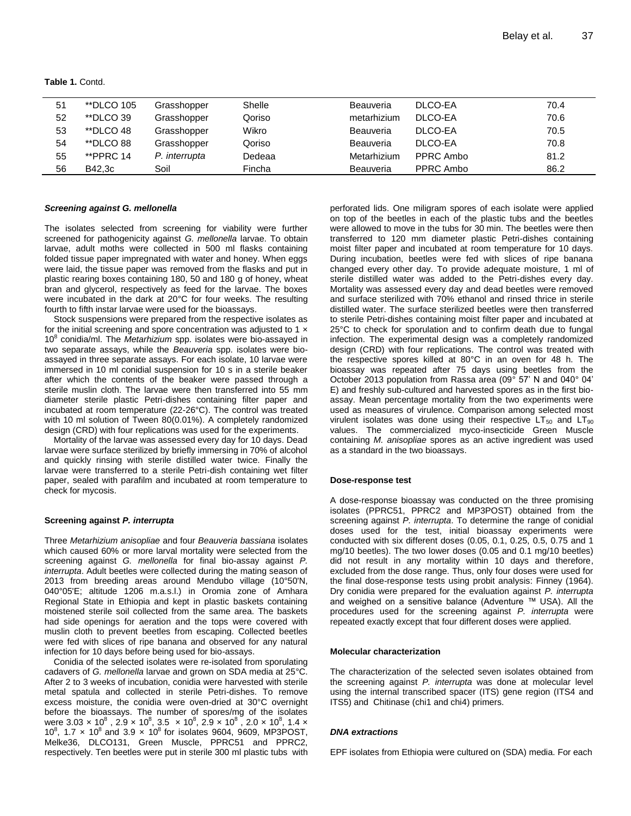**Table 1.** Contd.

| 51 | <i>**</i> DLCO 105 | Grasshopper   | Shelle | Beauveria   | DLCO-EA   | 70.4 |
|----|--------------------|---------------|--------|-------------|-----------|------|
| 52 | **DLCO 39          | Grasshopper   | Qoriso | metarhizium | DLCO-EA   | 70.6 |
| 53 | **DLCO 48          | Grasshopper   | Wikro  | Beauveria   | DLCO-EA   | 70.5 |
| 54 | **DLCO 88          | Grasshopper   | Qoriso | Beauveria   | DLCO-EA   | 70.8 |
| 55 | **PPRC 14          | P. interrupta | Dedeaa | Metarhizium | PPRC Ambo | 81.2 |
| 56 | B42.3c             | Soil          | Fincha | Beauveria   | PPRC Ambo | 86.2 |

#### *Screening against G. mellonella*

The isolates selected from screening for viability were further screened for pathogenicity against *G. mellonella* larvae. To obtain larvae, adult moths were collected in 500 ml flasks containing folded tissue paper impregnated with water and honey. When eggs were laid, the tissue paper was removed from the flasks and put in plastic rearing boxes containing 180, 50 and 180 g of honey, wheat bran and glycerol, respectively as feed for the larvae. The boxes were incubated in the dark at 20°C for four weeks. The resulting fourth to fifth instar larvae were used for the bioassays.

Stock suspensions were prepared from the respective isolates as for the initial screening and spore concentration was adjusted to 1  $\times$ 10<sup>8</sup> conidia/ml. The *Metarhizium* spp. isolates were bio-assayed in two separate assays, while the *Beauveria* spp. isolates were bioassayed in three separate assays. For each isolate, 10 larvae were immersed in 10 ml conidial suspension for 10 s in a sterile beaker after which the contents of the beaker were passed through a sterile muslin cloth. The larvae were then transferred into 55 mm diameter sterile plastic Petri-dishes containing filter paper and incubated at room temperature (22-26°C). The control was treated with 10 ml solution of Tween 80(0.01%). A completely randomized design (CRD) with four replications was used for the experiments.

Mortality of the larvae was assessed every day for 10 days. Dead larvae were surface sterilized by briefly immersing in 70% of alcohol and quickly rinsing with sterile distilled water twice. Finally the larvae were transferred to a sterile Petri-dish containing wet filter paper, sealed with parafilm and incubated at room temperature to check for mycosis.

#### **Screening against** *P. interrupta*

Three *Metarhizium anisopliae* and four *Beauveria bassiana* isolates which caused 60% or more larval mortality were selected from the screening against *G. mellonella* for final bio-assay against *P. interrupta*. Adult beetles were collected during the mating season of 2013 from breeding areas around Mendubo village (10°50'N, 040°05'E; altitude 1206 m.a.s.l.) in Oromia zone of Amhara Regional State in Ethiopia and kept in plastic baskets containing moistened sterile soil collected from the same area. The baskets had side openings for aeration and the tops were covered with muslin cloth to prevent beetles from escaping. Collected beetles were fed with slices of ripe banana and observed for any natural infection for 10 days before being used for bio-assays.

Conidia of the selected isolates were re-isolated from sporulating cadavers of *G. mellonella* larvae and grown on SDA media at 25°C. After 2 to 3 weeks of incubation, conidia were harvested with sterile metal spatula and collected in sterile Petri-dishes. To remove excess moisture, the conidia were oven-dried at 30°C overnight before the bioassays. The number of spores/mg of the isolates were 3.03  $\times$  10 $^8$  , 2.9  $\times$  10 $^8$ , 3.5  $\,\times$  10 $^8$ , 2.9  $\times$  10 $^8$  , 2.0  $\times$  10 $^8$ , 1.4  $\times$ 10<sup>8</sup>, 1.7 x 10<sup>8</sup> and 3.9 x 10<sup>8</sup> for isolates 9604, 9609, MP3POST, Melke36, DLCO131, Green Muscle, PPRC51 and PPRC2, respectively. Ten beetles were put in sterile 300 ml plastic tubs with

perforated lids. One miligram spores of each isolate were applied on top of the beetles in each of the plastic tubs and the beetles were allowed to move in the tubs for 30 min. The beetles were then transferred to 120 mm diameter plastic Petri-dishes containing moist filter paper and incubated at room temperature for 10 days. During incubation, beetles were fed with slices of ripe banana changed every other day. To provide adequate moisture, 1 ml of sterile distilled water was added to the Petri-dishes every day. Mortality was assessed every day and dead beetles were removed and surface sterilized with 70% ethanol and rinsed thrice in sterile distilled water. The surface sterilized beetles were then transferred to sterile Petri-dishes containing moist filter paper and incubated at 25°C to check for sporulation and to confirm death due to fungal infection. The experimental design was a completely randomized design (CRD) with four replications. The control was treated with the respective spores killed at 80°C in an oven for 48 h. The bioassay was repeated after 75 days using beetles from the October 2013 population from Rassa area (09° 57' N and 040° 04' E) and freshly sub-cultured and harvested spores as in the first bioassay. Mean percentage mortality from the two experiments were used as measures of virulence. Comparison among selected most virulent isolates was done using their respective  $LT_{50}$  and  $LT_{90}$ values. The commercialized myco-insecticide Green Muscle containing *M. anisopliae* spores as an active ingredient was used as a standard in the two bioassays.

#### **Dose-response test**

A dose-response bioassay was conducted on the three promising isolates (PPRC51, PPRC2 and MP3POST) obtained from the screening against *P. interrupta*. To determine the range of conidial doses used for the test, initial bioassay experiments were conducted with six different doses (0.05, 0.1, 0.25, 0.5, 0.75 and 1 mg/10 beetles). The two lower doses (0.05 and 0.1 mg/10 beetles) did not result in any mortality within 10 days and therefore, excluded from the dose range. Thus, only four doses were used for the final dose-response tests using probit analysis: Finney (1964). Dry conidia were prepared for the evaluation against *P. interrupta* and weighed on a sensitive balance (Adventure ™ USA). All the procedures used for the screening against *P. interrupta* were repeated exactly except that four different doses were applied.

#### **Molecular characterization**

The characterization of the selected seven isolates obtained from the screening against *P. interrupta* was done at molecular level using the internal transcribed spacer (ITS) gene region (ITS4 and ITS5) and Chitinase (chi1 and chi4) primers.

#### *DNA extractions*

EPF isolates from Ethiopia were cultured on (SDA) media. For each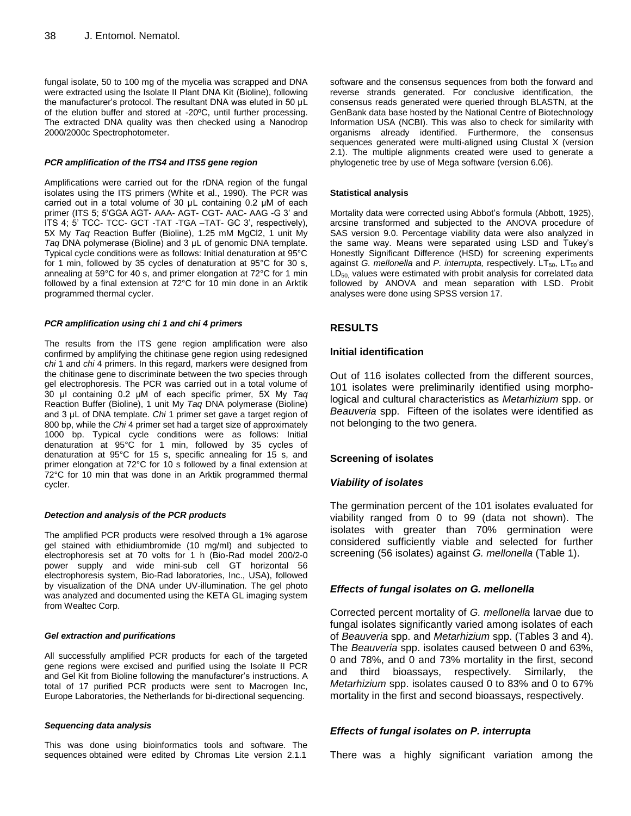fungal isolate, 50 to 100 mg of the mycelia was scrapped and DNA were extracted using the Isolate II Plant DNA Kit (Bioline), following the manufacturer's protocol. The resultant DNA was eluted in 50 μL of the elution buffer and stored at -20ºC, until further processing. The extracted DNA quality was then checked using a Nanodrop 2000/2000c Spectrophotometer.

#### *PCR amplification of the ITS4 and ITS5 gene region*

Amplifications were carried out for the rDNA region of the fungal isolates using the ITS primers (White et al., 1990). The PCR was carried out in a total volume of 30 μL containing 0.2 μM of each primer (ITS 5; 5'GGA AGT- AAA- AGT- CGT- AAC- AAG -G 3' and ITS 4; 5' TCC- TCC- GCT -TAT -TGA –TAT- GC 3', respectively), 5X My *Taq* Reaction Buffer (Bioline), 1.25 mM MgCl2, 1 unit My *Taq* DNA polymerase (Bioline) and 3 μL of genomic DNA template. Typical cycle conditions were as follows: Initial denaturation at 95°C for 1 min, followed by 35 cycles of denaturation at 95°C for 30 s, annealing at 59°C for 40 s, and primer elongation at 72°C for 1 min followed by a final extension at 72°C for 10 min done in an Arktik programmed thermal cycler.

#### *PCR amplification using chi 1 and chi 4 primers*

The results from the ITS gene region amplification were also confirmed by amplifying the chitinase gene region using redesigned c*hi* 1 and *chi* 4 primers. In this regard, markers were designed from the chitinase gene to discriminate between the two species through gel electrophoresis. The PCR was carried out in a total volume of 30 μl containing 0.2 μM of each specific primer, 5X My *Taq*  Reaction Buffer (Bioline), 1 unit My *Taq* DNA polymerase (Bioline) and 3 μL of DNA template. *Chi* 1 primer set gave a target region of 800 bp, while the *Chi* 4 primer set had a target size of approximately 1000 bp. Typical cycle conditions were as follows: Initial denaturation at 95°C for 1 min, followed by 35 cycles of denaturation at 95°C for 15 s, specific annealing for 15 s, and primer elongation at 72°C for 10 s followed by a final extension at 72°C for 10 min that was done in an Arktik programmed thermal cycler.

#### *Detection and analysis of the PCR products*

The amplified PCR products were resolved through a 1% agarose gel stained with ethidiumbromide (10 mg/ml) and subjected to electrophoresis set at 70 volts for 1 h (Bio-Rad model 200/2-0 power supply and wide mini-sub cell GT horizontal 56 electrophoresis system, Bio-Rad laboratories, Inc., USA), followed by visualization of the DNA under UV-illumination. The gel photo was analyzed and documented using the KETA GL imaging system from Wealtec Corp.

#### *Gel extraction and purifications*

All successfully amplified PCR products for each of the targeted gene regions were excised and purified using the Isolate II PCR and Gel Kit from Bioline following the manufacturer's instructions. A total of 17 purified PCR products were sent to Macrogen Inc, Europe Laboratories, the Netherlands for bi-directional sequencing.

#### *Sequencing data analysis*

This was done using bioinformatics tools and software. The sequences obtained were edited by Chromas Lite version 2.1.1

software and the consensus sequences from both the forward and reverse strands generated. For conclusive identification, the consensus reads generated were queried through BLASTN, at the GenBank data base hosted by the National Centre of Biotechnology Information USA (NCBI). This was also to check for similarity with organisms already identified. Furthermore, the consensus sequences generated were multi-aligned using Clustal X (version 2.1). The multiple alignments created were used to generate a phylogenetic tree by use of Mega software (version 6.06).

#### **Statistical analysis**

Mortality data were corrected using Abbot's formula (Abbott, 1925), arcsine transformed and subjected to the ANOVA procedure of SAS version 9.0. Percentage viability data were also analyzed in the same way. Means were separated using LSD and Tukey's Honestly Significant Difference (HSD) for screening experiments against *G. mellonella* and *P. interrupta*, respectively. LT<sub>50</sub>, LT<sub>90</sub> and LD<sub>50</sub>, values were estimated with probit analysis for correlated data followed by ANOVA and mean separation with LSD. Probit analyses were done using SPSS version 17.

## **RESULTS**

## **Initial identification**

Out of 116 isolates collected from the different sources, 101 isolates were preliminarily identified using morphological and cultural characteristics as *Metarhizium* spp. or *Beauveria* spp. Fifteen of the isolates were identified as not belonging to the two genera.

## **Screening of isolates**

## *Viability of isolates*

The germination percent of the 101 isolates evaluated for viability ranged from 0 to 99 (data not shown). The isolates with greater than 70% germination were considered sufficiently viable and selected for further screening (56 isolates) against *G. mellonella* (Table 1).

## *Effects of fungal isolates on G. mellonella*

Corrected percent mortality of *G. mellonella* larvae due to fungal isolates significantly varied among isolates of each of *Beauveria* spp. and *Metarhizium* spp. (Tables 3 and 4). The *Beauveria* spp. isolates caused between 0 and 63%, 0 and 78%, and 0 and 73% mortality in the first, second and third bioassays, respectively. Similarly, the *Metarhizium* spp. isolates caused 0 to 83% and 0 to 67% mortality in the first and second bioassays, respectively.

## *Effects of fungal isolates on P. interrupta*

There was a highly significant variation among the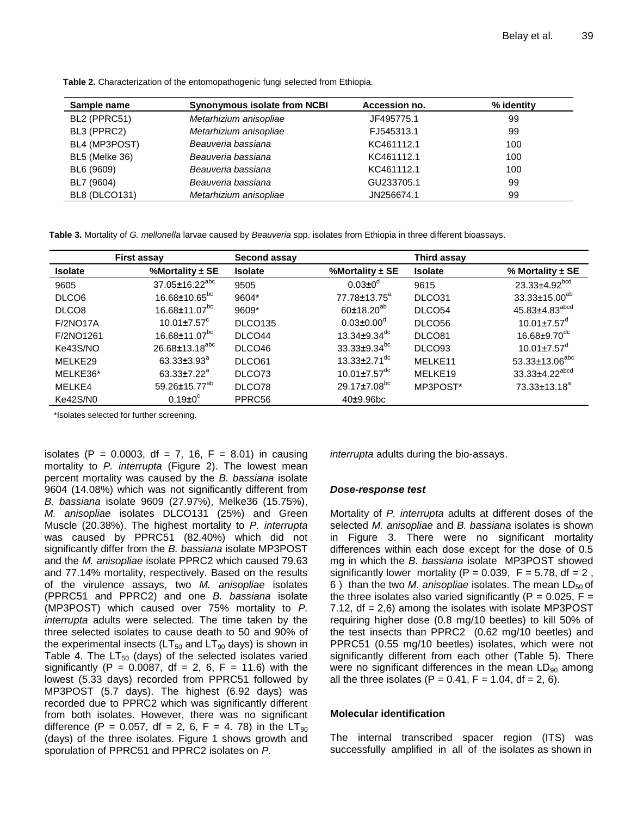| Synonymous isolate from NCBI<br>Sample name |                        | Accession no. | % identity |
|---------------------------------------------|------------------------|---------------|------------|
| BL2 (PPRC51)                                | Metarhizium anisopliae | JF495775.1    | 99         |
| BL3 (PPRC2)                                 | Metarhizium anisopliae | FJ545313.1    | 99         |
| BL4 (MP3POST)                               | Beauveria bassiana     | KC461112.1    | 100        |
| BL5 (Melke 36)                              | Beauveria bassiana     | KC461112.1    | 100        |
| BL6 (9609)                                  | Beauveria bassiana     | KC461112.1    | 100        |
| BL7 (9604)                                  | Beauveria bassiana     | GU233705.1    | 99         |
| <b>BL8 (DLCO131)</b>                        | Metarhizium anisopliae | JN256674.1    | 99         |

**Table 2.** Characterization of the entomopathogenic fungi selected from Ethiopia.

**Table 3.** Mortality of *G. mellonella* larvae caused by *Beauveria* spp. isolates from Ethiopia in three different bioassays.

|                   | <b>First assay</b>              | Second assay   |                                | Third assay        |                                 |
|-------------------|---------------------------------|----------------|--------------------------------|--------------------|---------------------------------|
| <b>Isolate</b>    | %Mortality $\pm$ SE             | <b>Isolate</b> | %Mortality $\pm$ SE            | <b>Isolate</b>     | % Mortality $\pm$ SE            |
| 9605              | 37.05±16.22 <sup>abc</sup>      | 9505           | $0.03 \pm 0^d$                 | 9615               | $23.33 \pm 4.92$ <sup>bcd</sup> |
| DLCO <sub>6</sub> | $16.68 \pm 10.65^{bc}$          | 9604*          | $77.78 \pm 13.75^{\circ}$      | DLCO31             | $33.33 \pm 15.00^{ab}$          |
| DLCO <sub>8</sub> | $16.68 \pm 11.07$ <sup>bc</sup> | 9609*          | $60±18.20^{ab}$                | DLCO54             | 45.83±4.83 <sup>abcd</sup>      |
| <b>F/2NO17A</b>   | $10.01 \pm 7.57^{\circ}$        | <b>DLCO135</b> | $0.03 \pm 0.00^{\circ}$        | DLCO <sub>56</sub> | $10.01 \pm 7.57$ <sup>d</sup>   |
| F/2NO1261         | $16.68 \pm 11.07$ <sup>bc</sup> | DLCO44         | 13.34 $\pm$ 9.34 <sup>dc</sup> | DLCO81             | $16.68 \pm 9.70$ <sup>dc</sup>  |
| Ke43S/NO          | $26.68 \pm 13.18^{abc}$         | DLCO46         | $33.33 \pm 9.34$ <sup>bc</sup> | DLCO <sub>93</sub> | $10.01 \pm 7.57$ <sup>d</sup>   |
| MELKE29           | $63.33 \pm 3.93^a$              | DLCO61         | 13.33 $\pm$ 2.71 <sup>dc</sup> | MELKE11            | $53.33 \pm 13.06^{abc}$         |
| MELKE36*          | $63.33 \pm 7.22^a$              | DLCO73         | $10.01 \pm 7.57$ <sup>dc</sup> | MELKE19            | 33.33±4.22 <sup>abcd</sup>      |
| MELKE4            | 59.26±15.77 <sup>ab</sup>       | DLCO78         | $29.17 \pm 7.08$ <sup>bc</sup> | MP3POST*           | $73.33 \pm 13.18^a$             |
| Ke42S/N0          | $0.19 \pm 0^\circ$              | PPRC56         | $40+9.96bc$                    |                    |                                 |

\*Isolates selected for further screening.

isolates (P = 0.0003, df = 7, 16, F = 8.01) in causing mortality to *P. interrupta* (Figure 2). The lowest mean percent mortality was caused by the *B. bassiana* isolate 9604 (14.08%) which was not significantly different from *B. bassiana* isolate 9609 (27.97%), Melke36 (15.75%), *M. anisopliae* isolates DLCO131 (25%) and Green Muscle (20.38%). The highest mortality to *P. interrupta* was caused by PPRC51 (82.40%) which did not significantly differ from the *B. bassiana* isolate MP3POST and the *M. anisopliae* isolate PPRC2 which caused 79.63 and 77.14% mortality, respectively. Based on the results of the virulence assays, two *M. anisopliae* isolates (PPRC51 and PPRC2) and one *B. bassiana* isolate (MP3POST) which caused over 75% mortality to *P. interrupta* adults were selected. The time taken by the three selected isolates to cause death to 50 and 90% of the experimental insects ( $LT_{50}$  and  $LT_{90}$  days) is shown in Table 4. The  $LT_{50}$  (days) of the selected isolates varied significantly (P = 0.0087, df = 2, 6, F = 11.6) with the lowest (5.33 days) recorded from PPRC51 followed by MP3POST (5.7 days). The highest (6.92 days) was recorded due to PPRC2 which was significantly different from both isolates. However, there was no significant difference (P = 0.057, df = 2, 6, F = 4. 78) in the  $LT_{90}$ (days) of the three isolates. Figure 1 shows growth and sporulation of PPRC51 and PPRC2 isolates on *P.*

*interrupta* adults during the bio-assays.

## *Dose-response test*

Mortality of *P. interrupta* adults at different doses of the selected *M. anisopliae* and *B. bassiana* isolates is shown in Figure 3. There were no significant mortality differences within each dose except for the dose of 0.5 mg in which the *B. bassiana* isolate MP3POST showed significantly lower mortality ( $P = 0.039$ ,  $F = 5.78$ , df = 2, 6) than the two *M. anisopliae* isolates. The mean LD<sub>50</sub> of the three isolates also varied significantly ( $P = 0.025$ ,  $F =$ 7.12, df = 2,6) among the isolates with isolate MP3POST requiring higher dose (0.8 mg/10 beetles) to kill 50% of the test insects than PPRC2 (0.62 mg/10 beetles) and PPRC51 (0.55 mg/10 beetles) isolates, which were not significantly different from each other (Table 5). There were no significant differences in the mean  $LD_{90}$  among all the three isolates (P =  $0.41$ , F =  $1.04$ , df =  $2$ , 6).

## **Molecular identification**

The internal transcribed spacer region (ITS) was successfully amplified in all of the isolates as shown in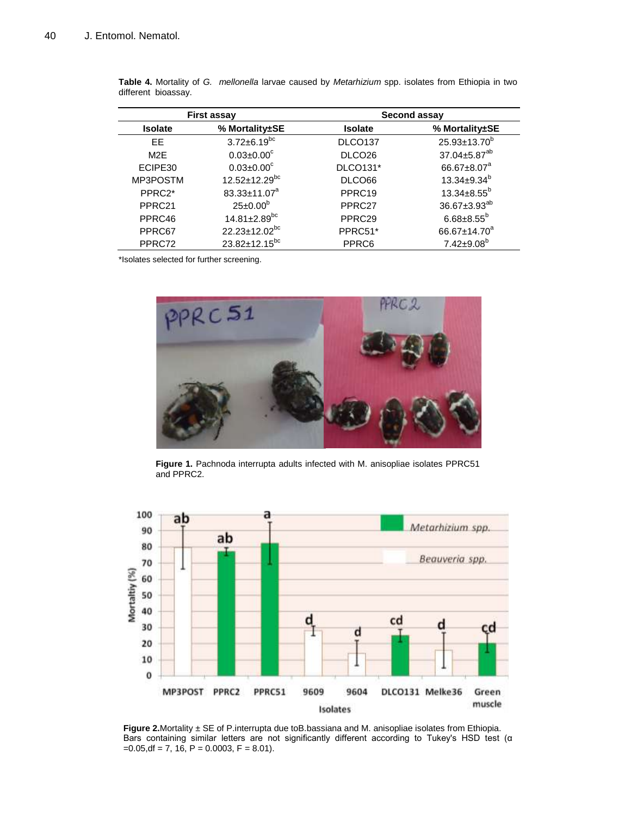| <b>First assay</b> |                                | Second assay        |                          |  |
|--------------------|--------------------------------|---------------------|--------------------------|--|
| <b>Isolate</b>     | % Mortality±SE                 | <b>Isolate</b>      | % Mortality±SE           |  |
| FF.                | $3.72 \pm 6.19$ <sup>bc</sup>  | DLCO <sub>137</sub> | $25.93 \pm 13.70^b$      |  |
| M <sub>2</sub> F   | $0.03 \pm 0.00^{\circ}$        | DLCO <sub>26</sub>  | 37.04±5.87 <sup>ab</sup> |  |
| ECIPE30            | $0.03 \pm 0.00$ <sup>c</sup>   | <b>DLCO131*</b>     | 66.67±8.07 <sup>a</sup>  |  |
| MP3POSTM           | 12.52±12.29bc                  | DLCO66              | $13.34 \pm 9.34^{b}$     |  |
| PPRC2*             | 83.33±11.07 <sup>a</sup>       | PPRC19              | $13.34 \pm 8.55^b$       |  |
| PPRC21             | $25 \pm 0.00^{\rm b}$          | PPRC27              | 36.67±3.93 <sup>ab</sup> |  |
| PPRC46             | $14.81 \pm 2.89$ <sup>bc</sup> | PPRC29              | $6.68 \pm 8.55^b$        |  |
| PPRC67             | 22.23±12.02 <sup>bc</sup>      | PPRC51*             | 66.67±14.70 <sup>a</sup> |  |
| PPRC72             | 23.82±12.15 <sup>bc</sup>      | PPRC6               | $7.42 \pm 9.08^b$        |  |

| Table 4. Mortality of G. mellonella larvae caused by Metarhizium spp. isolates from Ethiopia in two |  |  |  |  |
|-----------------------------------------------------------------------------------------------------|--|--|--|--|
| different bioassay.                                                                                 |  |  |  |  |

\*Isolates selected for further screening.



**Figure 1.** Pachnoda interrupta adults infected with M. anisopliae isolates PPRC51 and PPRC2.



**Figure 2.**Mortality ± SE of P.interrupta due toB.bassiana and M. anisopliae isolates from Ethiopia. Bars containing similar letters are not significantly different according to Tukey's HSD test (α  $=0.05$ , df = 7, 16, P = 0.0003, F = 8.01).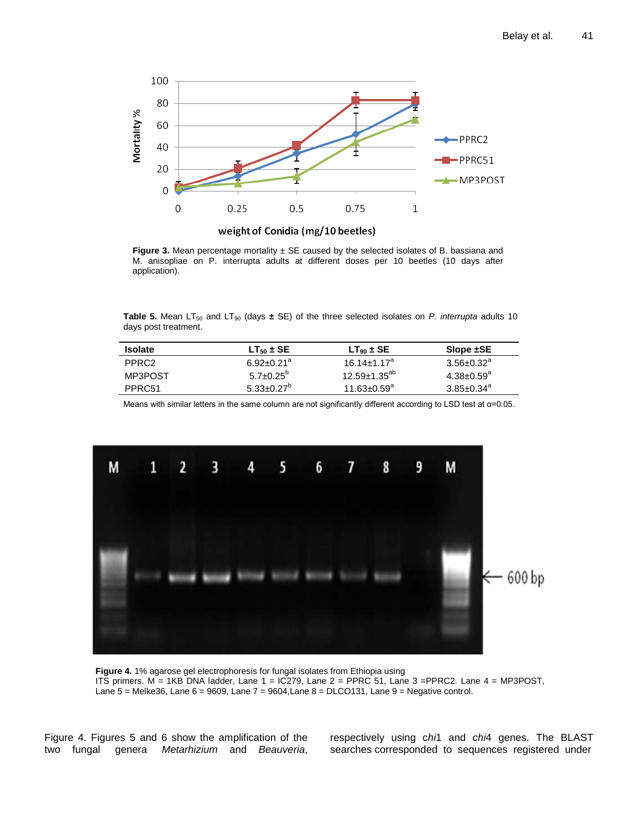

**Figure 3.** Mean percentage mortality  $\pm$  SE caused by the selected isolates of B. bassiana and M. anisopliae on P. interrupta adults at different doses per 10 beetles (10 days after application).

**Table 5.** Mean LT<sub>50</sub> and LT<sub>90</sub> (days  $\pm$  SE) of the three selected isolates on *P. interrupta* adults 10 days post treatment.

| <b>Isolate</b>     | $LT_{50}$ ± SE             | $LT_{90}$ ± SE                | Slope ±SE                    |
|--------------------|----------------------------|-------------------------------|------------------------------|
| PPRC <sub>2</sub>  | $6.92 + 0.21$ <sup>a</sup> | $16.14 + 1.17a$               | $3.56 \pm 0.32^a$            |
| MP3POST            | $5.7 \pm 0.25^{\circ}$     | $12.59 \pm 1.35^{ab}$         | $4.38 \pm 0.59$ <sup>a</sup> |
| PPRC <sub>51</sub> | $5.33+0.27^{\circ}$        | $11.63 \pm 0.59$ <sup>a</sup> | $3.85 \pm 0.34$ <sup>a</sup> |

Means with similar letters in the same column are not significantly different according to LSD test at α=0.05.



**Figure 4.** 1% agarose gel electrophoresis for fungal isolates from Ethiopia using ITS primers.  $M = 1KB$  DNA ladder, Lane  $1 = IC279$ , Lane  $2 = PPRC 51$ , Lane  $3 = PPRC2$ . Lane  $4 = MP3POST$ , Lane 5 = Melke36, Lane 6 = 9609, Lane 7 = 9604,Lane 8 = DLCO131, Lane 9 = Negative control.

Figure 4. Figures 5 and 6 show the amplification of the two fungal genera *Metarhizium* and *Beauveria*, respectively using c*hi*1 and *chi*4 genes. The BLAST searches corresponded to sequences registered under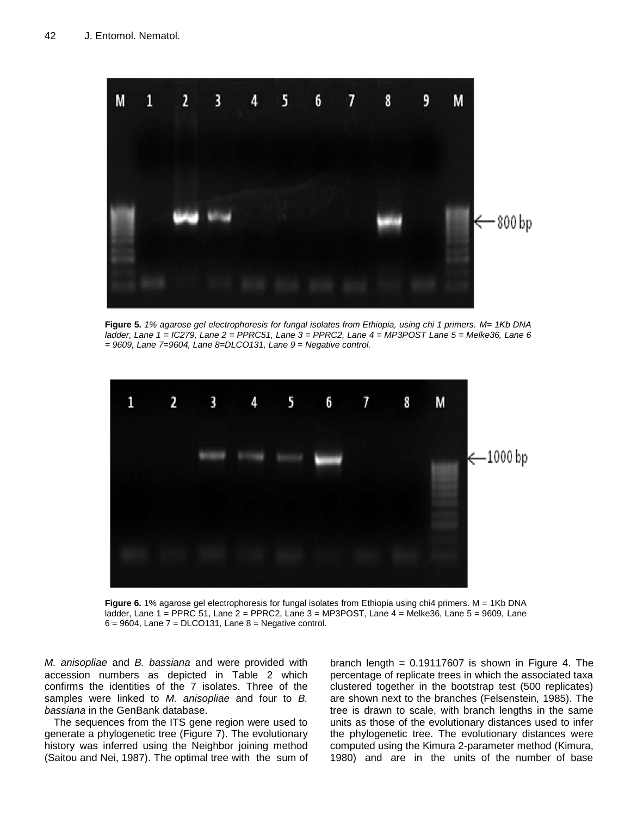

**Figure 5.** *1% agarose gel electrophoresis for fungal isolates from Ethiopia, using chi 1 primers. M= 1Kb DNA ladder, Lane 1 = IC279, Lane 2 = PPRC51, Lane 3 = PPRC2, Lane 4 = MP3POST Lane 5 = Melke36, Lane 6 = 9609, Lane 7=9604, Lane 8=DLCO131, Lane 9 = Negative control.*



**Figure 6.** 1% agarose gel electrophoresis for fungal isolates from Ethiopia using chi4 primers. M = 1Kb DNA ladder, Lane 1 = PPRC 51, Lane 2 = PPRC2, Lane 3 = MP3POST, Lane 4 = Melke36, Lane 5 = 9609, Lane  $6 = 9604$ , Lane  $7 = DLCO131$ , Lane  $8 = N$ egative control.

*M. anisopliae* and *B. bassiana* and were provided with accession numbers as depicted in Table 2 which confirms the identities of the 7 isolates. Three of the samples were linked to *M. anisopliae* and four to *B. bassiana* in the GenBank database.

The sequences from the ITS gene region were used to generate a phylogenetic tree (Figure 7). The evolutionary history was inferred using the Neighbor joining method (Saitou and Nei, 1987). The optimal tree with the sum of

branch length =  $0.19117607$  is shown in Figure 4. The percentage of replicate trees in which the associated taxa clustered together in the bootstrap test (500 replicates) are shown next to the branches (Felsenstein, 1985). The tree is drawn to scale, with branch lengths in the same units as those of the evolutionary distances used to infer the phylogenetic tree. The evolutionary distances were computed using the Kimura 2-parameter method (Kimura, 1980) and are in the units of the number of base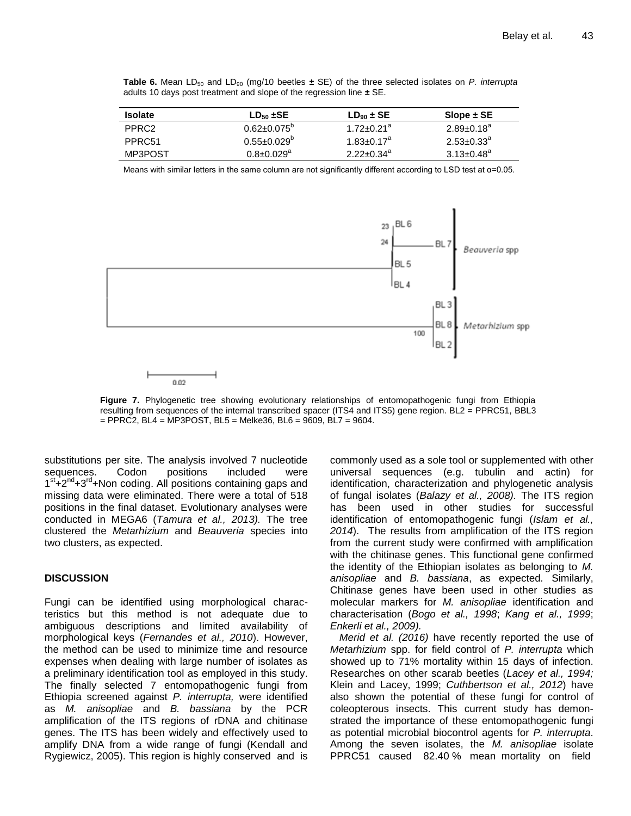**Table 6.** Mean  $LD_{50}$  and  $LD_{90}$  (mg/10 beetles  $\pm$  SE) of the three selected isolates on *P. interrupta* adults 10 days post treatment and slope of the regression line **±** SE.

| <b>Isolate</b>     | $LD_{50}$ $\pm$ SE           | $LD_{90} \pm SE$             | Slope $\pm$ SE               |
|--------------------|------------------------------|------------------------------|------------------------------|
| PPRC <sub>2</sub>  | $0.62 \pm 0.075^{\circ}$     | $1.72 + 0.21$ <sup>a</sup>   | $2.89 \pm 0.18^a$            |
| PPRC <sub>51</sub> | $0.55 \pm 0.029^{\circ}$     | $1.83 \pm 0.17$ <sup>a</sup> | $2.53 \pm 0.33$ <sup>a</sup> |
| MP3POST            | $0.8 \pm 0.029$ <sup>a</sup> | $2.22 \pm 0.34^a$            | $3.13 \pm 0.48$ <sup>a</sup> |

Means with similar letters in the same column are not significantly different according to LSD test at α=0.05.



**Figure 7.** Phylogenetic tree showing evolutionary relationships of entomopathogenic fungi from Ethiopia resulting from sequences of the internal transcribed spacer (ITS4 and ITS5) gene region. BL2 = PPRC51, BBL3  $=$  PPRC2, BL4 = MP3POST, BL5 = Melke36, BL6 = 9609, BL7 = 9604.

substitutions per site. The analysis involved 7 nucleotide sequences. Codon positions included were 1<sup>st</sup>+2<sup>nd</sup>+3<sup>rd</sup>+Non coding. All positions containing gaps and missing data were eliminated. There were a total of 518 positions in the final dataset. Evolutionary analyses were conducted in MEGA6 (*Tamura et al., 2013).* The tree clustered the *Metarhizium* and *Beauveria* species into two clusters, as expected.

## **DISCUSSION**

Fungi can be identified using morphological characteristics but this method is not adequate due to ambiguous descriptions and limited availability of morphological keys (*Fernandes et al., 2010*). However, the method can be used to minimize time and resource expenses when dealing with large number of isolates as a preliminary identification tool as employed in this study. The finally selected 7 entomopathogenic fungi from Ethiopia screened against *P. interrupta,* were identified as *M. anisopliae* and *B. bassiana* by the PCR amplification of the ITS regions of rDNA and chitinase genes. The ITS has been widely and effectively used to amplify DNA from a wide range of fungi (Kendall and Rygiewicz, 2005). This region is highly conserved and is commonly used as a sole tool or supplemented with other universal sequences (e.g. tubulin and actin) for identification, characterization and phylogenetic analysis of fungal isolates (*Balazy et al., 2008).* The ITS region has been used in other studies for successful identification of entomopathogenic fungi (*Islam et al., 2014*). The results from amplification of the ITS region from the current study were confirmed with amplification with the chitinase genes. This functional gene confirmed the identity of the Ethiopian isolates as belonging to *M. anisopliae* and *B. bassiana*, as expected*.* Similarly, Chitinase genes have been used in other studies as molecular markers for *M. anisopliae* identification and characterisation (*Bogo et al., 1998*; *Kang et al., 1999*; *Enkerli et al., 2009).*

*Merid et al. (2016)* have recently reported the use of *Metarhizium* spp. for field control of *P. interrupta* which showed up to 71% mortality within 15 days of infection. Researches on other scarab beetles (*Lacey et al., 1994;* Klein and Lacey, 1999; *Cuthbertson et al., 2012*) have also shown the potential of these fungi for control of coleopterous insects. This current study has demonstrated the importance of these entomopathogenic fungi as potential microbial biocontrol agents for *P. interrupta*. Among the seven isolates, the *M. anisopliae* isolate PPRC51 caused 82.40 % mean mortality on field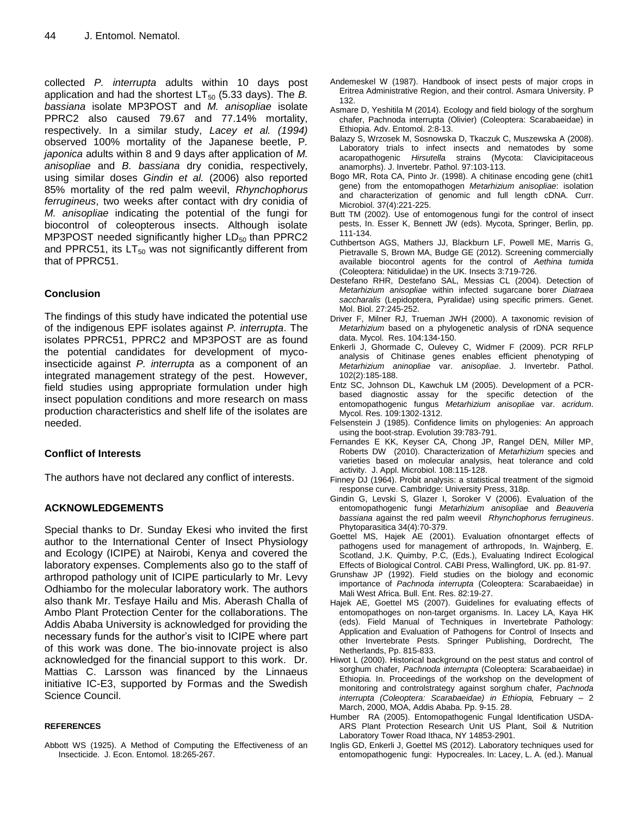collected *P. interrupta* adults within 10 days post application and had the shortest  $LT_{50}$  (5.33 days). The *B*. *bassiana* isolate MP3POST and *M. anisopliae* isolate PPRC2 also caused 79.67 and 77.14% mortality, respectively. In a similar study, *Lacey et al. (1994)* observed 100% mortality of the Japanese beetle, P*. japonica* adults within 8 and 9 days after application of *M. anisopliae* and *B. bassiana* dry conidia, respectively, using similar doses *Gindin et al.* (2006) also reported 85% mortality of the red palm weevil, *Rhynchophorus ferrugineus*, two weeks after contact with dry conidia of *M. anisopliae* indicating the potential of the fungi for biocontrol of coleopterous insects. Although isolate MP3POST needed significantly higher  $LD_{50}$  than PPRC2 and PPRC51, its  $LT_{50}$  was not significantly different from that of PPRC51.

## **Conclusion**

The findings of this study have indicated the potential use of the indigenous EPF isolates against *P. interrupta*. The isolates PPRC51, PPRC2 and MP3POST are as found the potential candidates for development of mycoinsecticide against *P. interrupta* as a component of an integrated management strategy of the pest. However, field studies using appropriate formulation under high insect population conditions and more research on mass production characteristics and shelf life of the isolates are needed.

## **Conflict of Interests**

The authors have not declared any conflict of interests.

## **ACKNOWLEDGEMENTS**

Special thanks to Dr. Sunday Ekesi who invited the first author to the International Center of Insect Physiology and Ecology (ICIPE) at Nairobi, Kenya and covered the laboratory expenses. Complements also go to the staff of arthropod pathology unit of ICIPE particularly to Mr. Levy Odhiambo for the molecular laboratory work. The authors also thank Mr. Tesfaye Hailu and Mis. Aberash Challa of Ambo Plant Protection Center for the collaborations. The Addis Ababa University is acknowledged for providing the necessary funds for the author's visit to ICIPE where part of this work was done. The bio-innovate project is also acknowledged for the financial support to this work. Dr. Mattias C. Larsson was financed by the Linnaeus initiative IC-E3, supported by Formas and the Swedish Science Council.

## **REFERENCES**

Abbott WS (1925). A Method of Computing the Effectiveness of an Insecticide. J. Econ. Entomol. 18:265-267.

- Andemeskel W (1987). Handbook of insect pests of major crops in Eritrea Administrative Region, and their control. Asmara University. P 132.
- Asmare D, Yeshitila M (2014). Ecology and field biology of the sorghum chafer, Pachnoda interrupta (Olivier) (Coleoptera: Scarabaeidae) in Ethiopia. Adv. Entomol. 2:8-13.
- Balazy S, Wrzosek M, Sosnowska D, Tkaczuk C, Muszewska A (2008). Laboratory trials to infect insects and nematodes by some acaropathogenic *Hirsutella* strains (Mycota: Clavicipitaceous anamorphs). J. Invertebr. Pathol. 97:103-113.
- Bogo MR, Rota CA, Pinto Jr. (1998). A chitinase encoding gene (chit1 gene) from the entomopathogen *Metarhizium anisopliae*: isolation and characterization of genomic and full length cDNA. Curr. Microbiol. 37(4):221-225.
- Butt TM (2002). Use of entomogenous fungi for the control of insect pests, In. Esser K, Bennett JW (eds). Mycota, Springer, Berlin, pp. 111-134.
- Cuthbertson AGS, Mathers JJ, Blackburn LF, Powell ME, Marris G, Pietravalle S, Brown MA, Budge GE (2012). Screening commercially available biocontrol agents for the control of *Aethina tumida* (Coleoptera: Nitidulidae) in the UK. Insects 3:719-726.
- Destefano RHR, Destefano SAL, Messias CL (2004). Detection of *Metarhizium anisopliae* within infected sugarcane borer *Diatraea saccharalis* (Lepidoptera, Pyralidae) using specific primers. Genet. Mol. Biol. 27:245-252.
- Driver F, Milner RJ, Trueman JWH (2000). A taxonomic revision of *Metarhizium* based on a phylogenetic analysis of rDNA sequence data. Mycol. Res. 104:134-150.
- Enkerli J, Ghormade C, Oulevey C, Widmer F (2009). PCR RFLP analysis of Chitinase genes enables efficient phenotyping of *Metarhizium aninopliae* var. *anisopliae*. J. Invertebr. Pathol. 102(2):185-188.
- Entz SC, Johnson DL, Kawchuk LM (2005). Development of a PCRbased diagnostic assay for the specific detection of the entomopathogenic fungus *Metarhizium anisopliae* var. *acridum*. Mycol. Res. 109:1302-1312.
- Felsenstein J (1985). Confidence limits on phylogenies: An approach using the boot-strap. Evolution 39:783-791.
- Fernandes E KK, Keyser CA, Chong JP, Rangel DEN, Miller MP, Roberts DW (2010). Characterization of *Metarhizium* species and varieties based on molecular analysis, heat tolerance and cold activity. J. Appl. Microbiol. 108:115-128.
- Finney DJ (1964). Probit analysis: a statistical treatment of the sigmoid response curve. Cambridge: University Press, 318p.
- Gindin G, Levski S, Glazer I, Soroker V (2006). Evaluation of the entomopathogenic fungi *Metarhizium anisopliae* and *Beauveria bassiana* against the red palm weevil *Rhynchophorus ferrugineus*. Phytoparasitica 34(4):70-379.
- Goettel MS, Hajek AE (2001). Evaluation ofnontarget effects of pathogens used for management of arthropods, In. Wajnberg, E. Scotland, J.K. Quimby, P.C, (Eds.), Evaluating Indirect Ecological Effects of Biological Control. CABI Press, Wallingford, UK. pp. 81-97.
- Grunshaw JP (1992). Field studies on the biology and economic importance of *Pachnoda interrupta* (Coleoptera: Scarabaeidae) in Mali West Africa. Bull. Ent. Res. 82:19-27.
- Hajek AE, Goettel MS (2007). Guidelines for evaluating effects of entomopathoges on non-target organisms. In. Lacey LA, Kaya HK (eds). Field Manual of Techniques in Invertebrate Pathology: Application and Evaluation of Pathogens for Control of Insects and other Invertebrate Pests. Springer Publishing, Dordrecht, The Netherlands, Pp. 815-833.
- Hiwot L (2000). Historical background on the pest status and control of sorghum chafer, *Pachnoda interrupta* (Coleoptera: Scarabaeidae) in Ethiopia. In. Proceedings of the workshop on the development of monitoring and controlstrategy against sorghum chafer, *Pachnoda interrupta (Coleoptera: Scarabaeidae) in Ethiopia,* February – 2 March, 2000, MOA, Addis Ababa. Pp. 9-15. 28.
- Humber RA (2005). Entomopathogenic Fungal Identification USDA-ARS Plant Protection Research Unit US Plant, Soil & Nutrition Laboratory Tower Road Ithaca, NY 14853-2901.
- Inglis GD, Enkerli J, Goettel MS (2012). Laboratory techniques used for entomopathogenic fungi: Hypocreales. In: Lacey, L. A. (ed.). Manual